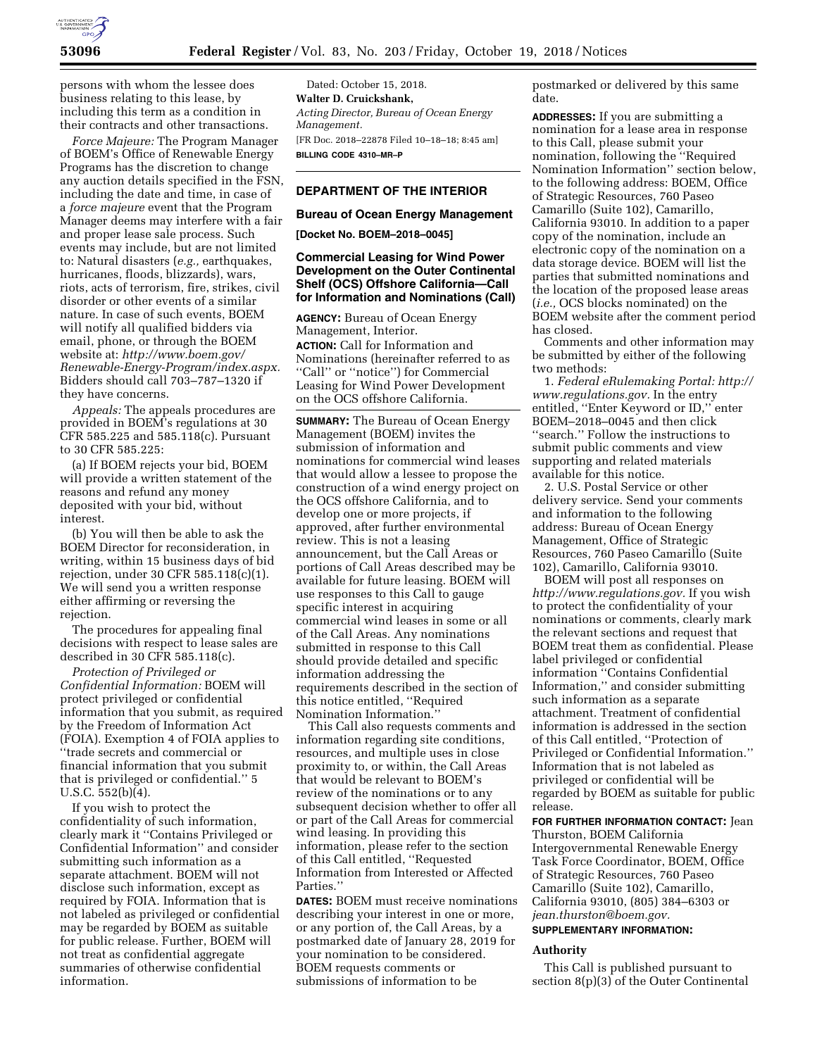

persons with whom the lessee does business relating to this lease, by including this term as a condition in their contracts and other transactions.

*Force Majeure:* The Program Manager of BOEM's Office of Renewable Energy Programs has the discretion to change any auction details specified in the FSN, including the date and time, in case of a *force majeure* event that the Program Manager deems may interfere with a fair and proper lease sale process. Such events may include, but are not limited to: Natural disasters (*e.g.,* earthquakes, hurricanes, floods, blizzards), wars, riots, acts of terrorism, fire, strikes, civil disorder or other events of a similar nature. In case of such events, BOEM will notify all qualified bidders via email, phone, or through the BOEM website at: *[http://www.boem.gov/](http://www.boem.gov/Renewable-Energy-Program/index.aspx)  [Renewable-Energy-Program/index.aspx.](http://www.boem.gov/Renewable-Energy-Program/index.aspx)*  Bidders should call 703–787–1320 if they have concerns.

*Appeals:* The appeals procedures are provided in BOEM's regulations at 30 CFR 585.225 and 585.118(c). Pursuant to 30 CFR 585.225:

(a) If BOEM rejects your bid, BOEM will provide a written statement of the reasons and refund any money deposited with your bid, without interest.

(b) You will then be able to ask the BOEM Director for reconsideration, in writing, within 15 business days of bid rejection, under 30 CFR 585.118(c)(1). We will send you a written response either affirming or reversing the rejection.

The procedures for appealing final decisions with respect to lease sales are described in 30 CFR 585.118(c).

*Protection of Privileged or Confidential Information:* BOEM will protect privileged or confidential information that you submit, as required by the Freedom of Information Act (FOIA). Exemption 4 of FOIA applies to ''trade secrets and commercial or financial information that you submit that is privileged or confidential.'' 5 U.S.C. 552(b)(4).

If you wish to protect the confidentiality of such information, clearly mark it ''Contains Privileged or Confidential Information'' and consider submitting such information as a separate attachment. BOEM will not disclose such information, except as required by FOIA. Information that is not labeled as privileged or confidential may be regarded by BOEM as suitable for public release. Further, BOEM will not treat as confidential aggregate summaries of otherwise confidential information.

Dated: October 15, 2018. **Walter D. Cruickshank,**  *Acting Director, Bureau of Ocean Energy Management.*  [FR Doc. 2018–22878 Filed 10–18–18; 8:45 am] **BILLING CODE 4310–MR–P** 

### **DEPARTMENT OF THE INTERIOR**

#### **Bureau of Ocean Energy Management**

**[Docket No. BOEM–2018–0045]** 

### **Commercial Leasing for Wind Power Development on the Outer Continental Shelf (OCS) Offshore California—Call for Information and Nominations (Call)**

**AGENCY:** Bureau of Ocean Energy Management, Interior. **ACTION:** Call for Information and Nominations (hereinafter referred to as "Call" or "notice") for Commercial Leasing for Wind Power Development on the OCS offshore California.

**SUMMARY:** The Bureau of Ocean Energy Management (BOEM) invites the submission of information and nominations for commercial wind leases that would allow a lessee to propose the construction of a wind energy project on the OCS offshore California, and to develop one or more projects, if approved, after further environmental review. This is not a leasing announcement, but the Call Areas or portions of Call Areas described may be available for future leasing. BOEM will use responses to this Call to gauge specific interest in acquiring commercial wind leases in some or all of the Call Areas. Any nominations submitted in response to this Call should provide detailed and specific information addressing the requirements described in the section of this notice entitled, ''Required Nomination Information.''

This Call also requests comments and information regarding site conditions, resources, and multiple uses in close proximity to, or within, the Call Areas that would be relevant to BOEM's review of the nominations or to any subsequent decision whether to offer all or part of the Call Areas for commercial wind leasing. In providing this information, please refer to the section of this Call entitled, ''Requested Information from Interested or Affected Parties.''

**DATES:** BOEM must receive nominations describing your interest in one or more, or any portion of, the Call Areas, by a postmarked date of January 28, 2019 for your nomination to be considered. BOEM requests comments or submissions of information to be

postmarked or delivered by this same date.

**ADDRESSES:** If you are submitting a nomination for a lease area in response to this Call, please submit your nomination, following the ''Required Nomination Information'' section below, to the following address: BOEM, Office of Strategic Resources, 760 Paseo Camarillo (Suite 102), Camarillo, California 93010. In addition to a paper copy of the nomination, include an electronic copy of the nomination on a data storage device. BOEM will list the parties that submitted nominations and the location of the proposed lease areas (*i.e.,* OCS blocks nominated) on the BOEM website after the comment period has closed.

Comments and other information may be submitted by either of the following two methods:

1. *Federal eRulemaking Portal: [http://](http://www.regulations.gov)  [www.regulations.gov.](http://www.regulations.gov)* In the entry entitled, ''Enter Keyword or ID,'' enter BOEM–2018–0045 and then click ''search.'' Follow the instructions to submit public comments and view supporting and related materials available for this notice.

2. U.S. Postal Service or other delivery service. Send your comments and information to the following address: Bureau of Ocean Energy Management, Office of Strategic Resources, 760 Paseo Camarillo (Suite 102), Camarillo, California 93010.

BOEM will post all responses on *[http://www.regulations.gov.](http://www.regulations.gov)* If you wish to protect the confidentiality of your nominations or comments, clearly mark the relevant sections and request that BOEM treat them as confidential. Please label privileged or confidential information ''Contains Confidential Information,'' and consider submitting such information as a separate attachment. Treatment of confidential information is addressed in the section of this Call entitled, ''Protection of Privileged or Confidential Information.'' Information that is not labeled as privileged or confidential will be regarded by BOEM as suitable for public release.

**FOR FURTHER INFORMATION CONTACT:** Jean Thurston, BOEM California Intergovernmental Renewable Energy Task Force Coordinator, BOEM, Office of Strategic Resources, 760 Paseo Camarillo (Suite 102), Camarillo, California 93010, (805) 384–6303 or *[jean.thurston@boem.gov.](mailto:jean.thurston@boem.gov)* 

# **SUPPLEMENTARY INFORMATION:**

### **Authority**

This Call is published pursuant to section 8(p)(3) of the Outer Continental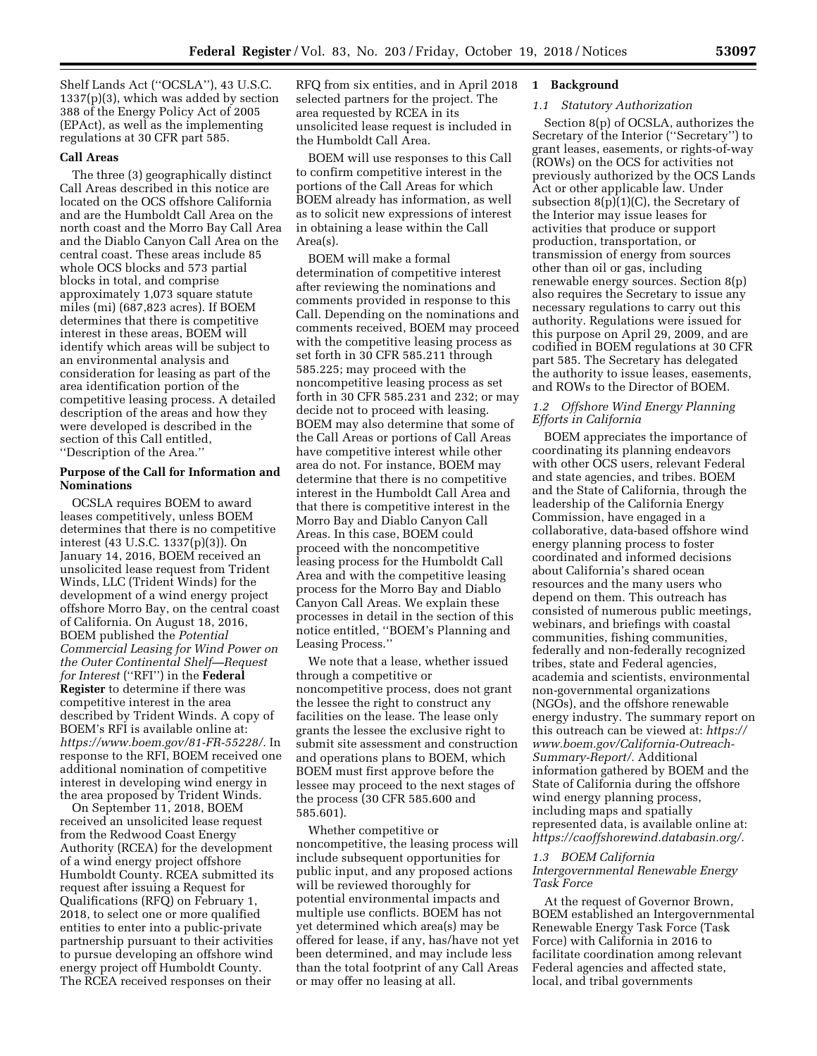Shelf Lands Act (''OCSLA''), 43 U.S.C. 1337(p)(3), which was added by section 388 of the Energy Policy Act of 2005 (EPAct), as well as the implementing regulations at 30 CFR part 585.

#### **Call Areas**

The three (3) geographically distinct Call Areas described in this notice are located on the OCS offshore California and are the Humboldt Call Area on the north coast and the Morro Bay Call Area and the Diablo Canyon Call Area on the central coast. These areas include 85 whole OCS blocks and 573 partial blocks in total, and comprise approximately 1,073 square statute miles (mi) (687,823 acres). If BOEM determines that there is competitive interest in these areas, BOEM will identify which areas will be subject to an environmental analysis and consideration for leasing as part of the area identification portion of the competitive leasing process. A detailed description of the areas and how they were developed is described in the section of this Call entitled, ''Description of the Area.''

# **Purpose of the Call for Information and Nominations**

OCSLA requires BOEM to award leases competitively, unless BOEM determines that there is no competitive interest (43 U.S.C. 1337(p)(3)). On January 14, 2016, BOEM received an unsolicited lease request from Trident Winds, LLC (Trident Winds) for the development of a wind energy project offshore Morro Bay, on the central coast of California. On August 18, 2016, BOEM published the *Potential Commercial Leasing for Wind Power on the Outer Continental Shelf—Request for Interest* (''RFI'') in the **Federal Register** to determine if there was competitive interest in the area described by Trident Winds. A copy of BOEM's RFI is available online at: *[https://www.boem.gov/81-FR-55228/.](https://www.boem.gov/81-FR-55228/)* In response to the RFI, BOEM received one additional nomination of competitive interest in developing wind energy in the area proposed by Trident Winds.

On September 11, 2018, BOEM received an unsolicited lease request from the Redwood Coast Energy Authority (RCEA) for the development of a wind energy project offshore Humboldt County. RCEA submitted its request after issuing a Request for Qualifications (RFQ) on February 1, 2018, to select one or more qualified entities to enter into a public-private partnership pursuant to their activities to pursue developing an offshore wind energy project off Humboldt County. The RCEA received responses on their

RFQ from six entities, and in April 2018 selected partners for the project. The area requested by RCEA in its unsolicited lease request is included in the Humboldt Call Area.

BOEM will use responses to this Call to confirm competitive interest in the portions of the Call Areas for which BOEM already has information, as well as to solicit new expressions of interest in obtaining a lease within the Call Area(s).

BOEM will make a formal determination of competitive interest after reviewing the nominations and comments provided in response to this Call. Depending on the nominations and comments received, BOEM may proceed with the competitive leasing process as set forth in 30 CFR 585.211 through 585.225; may proceed with the noncompetitive leasing process as set forth in 30 CFR 585.231 and 232; or may decide not to proceed with leasing. BOEM may also determine that some of the Call Areas or portions of Call Areas have competitive interest while other area do not. For instance, BOEM may determine that there is no competitive interest in the Humboldt Call Area and that there is competitive interest in the Morro Bay and Diablo Canyon Call Areas. In this case, BOEM could proceed with the noncompetitive leasing process for the Humboldt Call Area and with the competitive leasing process for the Morro Bay and Diablo Canyon Call Areas. We explain these processes in detail in the section of this notice entitled, ''BOEM's Planning and Leasing Process.''

We note that a lease, whether issued through a competitive or noncompetitive process, does not grant the lessee the right to construct any facilities on the lease. The lease only grants the lessee the exclusive right to submit site assessment and construction and operations plans to BOEM, which BOEM must first approve before the lessee may proceed to the next stages of the process (30 CFR 585.600 and 585.601).

Whether competitive or noncompetitive, the leasing process will include subsequent opportunities for public input, and any proposed actions will be reviewed thoroughly for potential environmental impacts and multiple use conflicts. BOEM has not yet determined which area(s) may be offered for lease, if any, has/have not yet been determined, and may include less than the total footprint of any Call Areas or may offer no leasing at all.

# **1 Background**

# *1.1 Statutory Authorization*

Section 8(p) of OCSLA, authorizes the Secretary of the Interior (''Secretary'') to grant leases, easements, or rights-of-way (ROWs) on the OCS for activities not previously authorized by the OCS Lands Act or other applicable law. Under subsection 8(p)(1)(C), the Secretary of the Interior may issue leases for activities that produce or support production, transportation, or transmission of energy from sources other than oil or gas, including renewable energy sources. Section 8(p) also requires the Secretary to issue any necessary regulations to carry out this authority. Regulations were issued for this purpose on April 29, 2009, and are codified in BOEM regulations at 30 CFR part 585. The Secretary has delegated the authority to issue leases, easements, and ROWs to the Director of BOEM.

# *1.2 Offshore Wind Energy Planning Efforts in California*

BOEM appreciates the importance of coordinating its planning endeavors with other OCS users, relevant Federal and state agencies, and tribes. BOEM and the State of California, through the leadership of the California Energy Commission, have engaged in a collaborative, data-based offshore wind energy planning process to foster coordinated and informed decisions about California's shared ocean resources and the many users who depend on them. This outreach has consisted of numerous public meetings, webinars, and briefings with coastal communities, fishing communities, federally and non-federally recognized tribes, state and Federal agencies, academia and scientists, environmental non-governmental organizations (NGOs), and the offshore renewable energy industry. The summary report on this outreach can be viewed at: *[https://](https://www.boem.gov/California-Outreach-Summary-Report/)  [www.boem.gov/California-Outreach-](https://www.boem.gov/California-Outreach-Summary-Report/)[Summary-Report/.](https://www.boem.gov/California-Outreach-Summary-Report/)* Additional information gathered by BOEM and the State of California during the offshore wind energy planning process, including maps and spatially represented data, is available online at: *[https://caoffshorewind.databasin.org/.](https://caoffshorewind.databasin.org/)* 

### *1.3 BOEM California Intergovernmental Renewable Energy Task Force*

At the request of Governor Brown, BOEM established an Intergovernmental Renewable Energy Task Force (Task Force) with California in 2016 to facilitate coordination among relevant Federal agencies and affected state, local, and tribal governments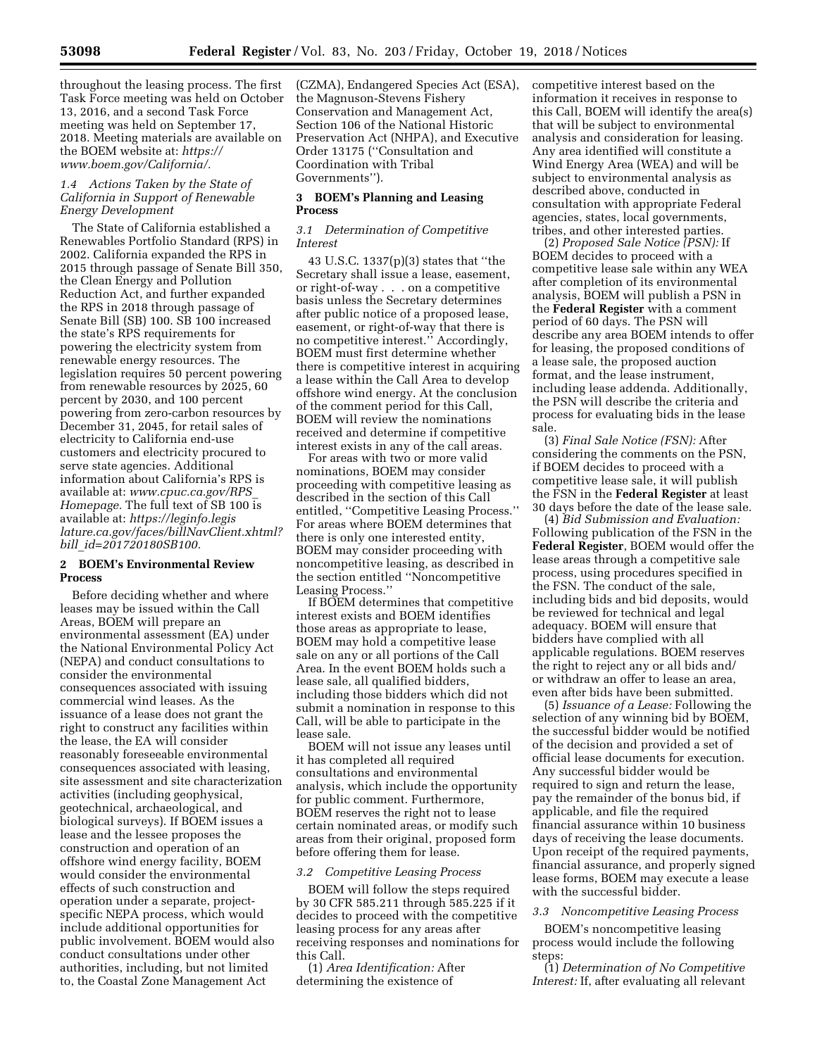throughout the leasing process. The first Task Force meeting was held on October 13, 2016, and a second Task Force meeting was held on September 17, 2018. Meeting materials are available on the BOEM website at: *[https://](https://www.boem.gov/California/) [www.boem.gov/California/.](https://www.boem.gov/California/)* 

# *1.4 Actions Taken by the State of California in Support of Renewable Energy Development*

The State of California established a Renewables Portfolio Standard (RPS) in 2002. California expanded the RPS in 2015 through passage of Senate Bill 350, the Clean Energy and Pollution Reduction Act, and further expanded the RPS in 2018 through passage of Senate Bill (SB) 100. SB 100 increased the state's RPS requirements for powering the electricity system from renewable energy resources. The legislation requires 50 percent powering from renewable resources by 2025, 60 percent by 2030, and 100 percent powering from zero-carbon resources by December 31, 2045, for retail sales of electricity to California end-use customers and electricity procured to serve state agencies. Additional information about California's RPS is available at: *[www.cpuc.ca.gov/RPS](http://www.cpuc.ca.gov/RPS_Homepage)*\_ *[Homepage.](http://www.cpuc.ca.gov/RPS_Homepage)* The full text of SB 100 is available at: *[https://leginfo.legis](https://leginfo.legislature.ca.gov/faces/billNavClient.xhtml?bill_id=201720180SB100) [lature.ca.gov/faces/billNavClient.xhtml?](https://leginfo.legislature.ca.gov/faces/billNavClient.xhtml?bill_id=201720180SB100) bill*\_*[id=201720180SB100.](https://leginfo.legislature.ca.gov/faces/billNavClient.xhtml?bill_id=201720180SB100)* 

## **2 BOEM's Environmental Review Process**

Before deciding whether and where leases may be issued within the Call Areas, BOEM will prepare an environmental assessment (EA) under the National Environmental Policy Act (NEPA) and conduct consultations to consider the environmental consequences associated with issuing commercial wind leases. As the issuance of a lease does not grant the right to construct any facilities within the lease, the EA will consider reasonably foreseeable environmental consequences associated with leasing, site assessment and site characterization activities (including geophysical, geotechnical, archaeological, and biological surveys). If BOEM issues a lease and the lessee proposes the construction and operation of an offshore wind energy facility, BOEM would consider the environmental effects of such construction and operation under a separate, projectspecific NEPA process, which would include additional opportunities for public involvement. BOEM would also conduct consultations under other authorities, including, but not limited to, the Coastal Zone Management Act

(CZMA), Endangered Species Act (ESA), the Magnuson-Stevens Fishery Conservation and Management Act, Section 106 of the National Historic Preservation Act (NHPA), and Executive Order 13175 (''Consultation and Coordination with Tribal Governments'').

# **3 BOEM's Planning and Leasing Process**

#### *3.1 Determination of Competitive Interest*

43 U.S.C. 1337(p)(3) states that ''the Secretary shall issue a lease, easement, or right-of-way . . . on a competitive basis unless the Secretary determines after public notice of a proposed lease, easement, or right-of-way that there is no competitive interest.'' Accordingly, BOEM must first determine whether there is competitive interest in acquiring a lease within the Call Area to develop offshore wind energy. At the conclusion of the comment period for this Call, BOEM will review the nominations received and determine if competitive interest exists in any of the call areas.

For areas with two or more valid nominations, BOEM may consider proceeding with competitive leasing as described in the section of this Call entitled, ''Competitive Leasing Process.'' For areas where BOEM determines that there is only one interested entity, BOEM may consider proceeding with noncompetitive leasing, as described in the section entitled ''Noncompetitive Leasing Process.''

If BOEM determines that competitive interest exists and BOEM identifies those areas as appropriate to lease, BOEM may hold a competitive lease sale on any or all portions of the Call Area. In the event BOEM holds such a lease sale, all qualified bidders, including those bidders which did not submit a nomination in response to this Call, will be able to participate in the lease sale.

BOEM will not issue any leases until it has completed all required consultations and environmental analysis, which include the opportunity for public comment. Furthermore, BOEM reserves the right not to lease certain nominated areas, or modify such areas from their original, proposed form before offering them for lease.

## *3.2 Competitive Leasing Process*

BOEM will follow the steps required by 30 CFR 585.211 through 585.225 if it decides to proceed with the competitive leasing process for any areas after receiving responses and nominations for this Call.

(1) *Area Identification:* After determining the existence of

competitive interest based on the information it receives in response to this Call, BOEM will identify the area(s) that will be subject to environmental analysis and consideration for leasing. Any area identified will constitute a Wind Energy Area (WEA) and will be subject to environmental analysis as described above, conducted in consultation with appropriate Federal agencies, states, local governments, tribes, and other interested parties.

(2) *Proposed Sale Notice (PSN):* If BOEM decides to proceed with a competitive lease sale within any WEA after completion of its environmental analysis, BOEM will publish a PSN in the **Federal Register** with a comment period of 60 days. The PSN will describe any area BOEM intends to offer for leasing, the proposed conditions of a lease sale, the proposed auction format, and the lease instrument, including lease addenda. Additionally, the PSN will describe the criteria and process for evaluating bids in the lease sale.

(3) *Final Sale Notice (FSN):* After considering the comments on the PSN, if BOEM decides to proceed with a competitive lease sale, it will publish the FSN in the **Federal Register** at least 30 days before the date of the lease sale.

(4) *Bid Submission and Evaluation:*  Following publication of the FSN in the **Federal Register**, BOEM would offer the lease areas through a competitive sale process, using procedures specified in the FSN. The conduct of the sale, including bids and bid deposits, would be reviewed for technical and legal adequacy. BOEM will ensure that bidders have complied with all applicable regulations. BOEM reserves the right to reject any or all bids and/ or withdraw an offer to lease an area, even after bids have been submitted.

(5) *Issuance of a Lease:* Following the selection of any winning bid by BOEM, the successful bidder would be notified of the decision and provided a set of official lease documents for execution. Any successful bidder would be required to sign and return the lease, pay the remainder of the bonus bid, if applicable, and file the required financial assurance within 10 business days of receiving the lease documents. Upon receipt of the required payments, financial assurance, and properly signed lease forms, BOEM may execute a lease with the successful bidder.

#### *3.3 Noncompetitive Leasing Process*

BOEM's noncompetitive leasing process would include the following steps:

(1) *Determination of No Competitive Interest:* If, after evaluating all relevant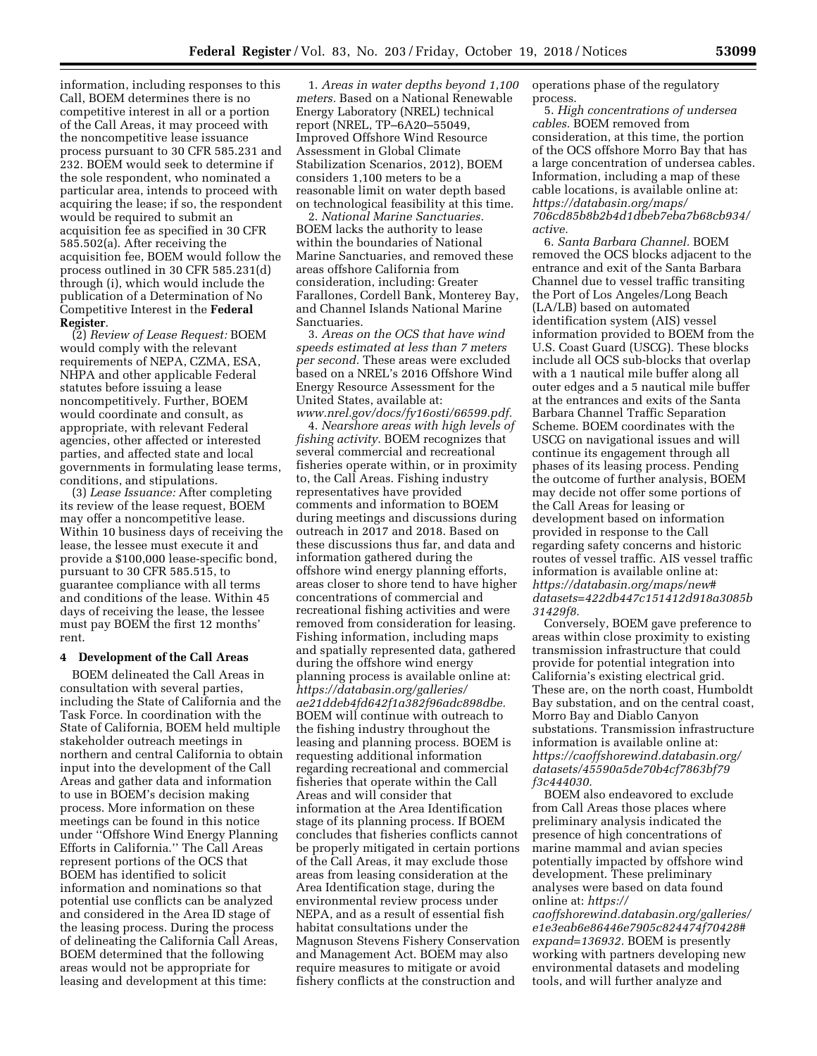information, including responses to this Call, BOEM determines there is no competitive interest in all or a portion of the Call Areas, it may proceed with the noncompetitive lease issuance process pursuant to 30 CFR 585.231 and 232. BOEM would seek to determine if the sole respondent, who nominated a particular area, intends to proceed with acquiring the lease; if so, the respondent would be required to submit an acquisition fee as specified in 30 CFR 585.502(a). After receiving the acquisition fee, BOEM would follow the process outlined in 30 CFR 585.231(d) through (i), which would include the publication of a Determination of No Competitive Interest in the **Federal Register**.

(2) *Review of Lease Request:* BOEM would comply with the relevant requirements of NEPA, CZMA, ESA, NHPA and other applicable Federal statutes before issuing a lease noncompetitively. Further, BOEM would coordinate and consult, as appropriate, with relevant Federal agencies, other affected or interested parties, and affected state and local governments in formulating lease terms, conditions, and stipulations.

(3) *Lease Issuance:* After completing its review of the lease request, BOEM may offer a noncompetitive lease. Within 10 business days of receiving the lease, the lessee must execute it and provide a \$100,000 lease-specific bond, pursuant to 30 CFR 585.515, to guarantee compliance with all terms and conditions of the lease. Within 45 days of receiving the lease, the lessee must pay BOEM the first 12 months' rent.

#### **4 Development of the Call Areas**

BOEM delineated the Call Areas in consultation with several parties, including the State of California and the Task Force. In coordination with the State of California, BOEM held multiple stakeholder outreach meetings in northern and central California to obtain input into the development of the Call Areas and gather data and information to use in BOEM's decision making process. More information on these meetings can be found in this notice under ''Offshore Wind Energy Planning Efforts in California.'' The Call Areas represent portions of the OCS that BOEM has identified to solicit information and nominations so that potential use conflicts can be analyzed and considered in the Area ID stage of the leasing process. During the process of delineating the California Call Areas, BOEM determined that the following areas would not be appropriate for leasing and development at this time:

1. *Areas in water depths beyond 1,100 meters.* Based on a National Renewable Energy Laboratory (NREL) technical report (NREL, TP–6A20–55049, Improved Offshore Wind Resource Assessment in Global Climate Stabilization Scenarios, 2012), BOEM considers 1,100 meters to be a reasonable limit on water depth based on technological feasibility at this time.

2. *National Marine Sanctuaries.*  BOEM lacks the authority to lease within the boundaries of National Marine Sanctuaries, and removed these areas offshore California from consideration, including: Greater Farallones, Cordell Bank, Monterey Bay, and Channel Islands National Marine Sanctuaries.

3. *Areas on the OCS that have wind speeds estimated at less than 7 meters per second.* These areas were excluded based on a NREL's 2016 Offshore Wind Energy Resource Assessment for the United States, available at: *[www.nrel.gov/docs/fy16osti/66599.pdf.](http://www.nrel.gov/docs/fy16osti/66599.pdf)* 

4. *Nearshore areas with high levels of fishing activity.* BOEM recognizes that several commercial and recreational fisheries operate within, or in proximity to, the Call Areas. Fishing industry representatives have provided comments and information to BOEM during meetings and discussions during outreach in 2017 and 2018. Based on these discussions thus far, and data and information gathered during the offshore wind energy planning efforts, areas closer to shore tend to have higher concentrations of commercial and recreational fishing activities and were removed from consideration for leasing. Fishing information, including maps and spatially represented data, gathered during the offshore wind energy planning process is available online at: *[https://databasin.org/galleries/](https://databasin.org/galleries/ae21ddeb4fd642f1a382f96adc898dbe) [ae21ddeb4fd642f1a382f96adc898dbe.](https://databasin.org/galleries/ae21ddeb4fd642f1a382f96adc898dbe)*  BOEM will continue with outreach to the fishing industry throughout the leasing and planning process. BOEM is requesting additional information regarding recreational and commercial fisheries that operate within the Call Areas and will consider that information at the Area Identification stage of its planning process. If BOEM concludes that fisheries conflicts cannot be properly mitigated in certain portions of the Call Areas, it may exclude those areas from leasing consideration at the Area Identification stage, during the environmental review process under NEPA, and as a result of essential fish habitat consultations under the Magnuson Stevens Fishery Conservation and Management Act. BOEM may also require measures to mitigate or avoid fishery conflicts at the construction and

operations phase of the regulatory process.

5. *High concentrations of undersea cables.* BOEM removed from consideration, at this time, the portion of the OCS offshore Morro Bay that has a large concentration of undersea cables. Information, including a map of these cable locations, is available online at: *[https://databasin.org/maps/](https://databasin.org/maps/706cd85b8b2b4d1dbeb7eba7b68cb934/active) [706cd85b8b2b4d1dbeb7eba7b68cb934/](https://databasin.org/maps/706cd85b8b2b4d1dbeb7eba7b68cb934/active) [active.](https://databasin.org/maps/706cd85b8b2b4d1dbeb7eba7b68cb934/active)* 

6. *Santa Barbara Channel.* BOEM removed the OCS blocks adjacent to the entrance and exit of the Santa Barbara Channel due to vessel traffic transiting the Port of Los Angeles/Long Beach (LA/LB) based on automated identification system (AIS) vessel information provided to BOEM from the U.S. Coast Guard (USCG). These blocks include all OCS sub-blocks that overlap with a 1 nautical mile buffer along all outer edges and a 5 nautical mile buffer at the entrances and exits of the Santa Barbara Channel Traffic Separation Scheme. BOEM coordinates with the USCG on navigational issues and will continue its engagement through all phases of its leasing process. Pending the outcome of further analysis, BOEM may decide not offer some portions of the Call Areas for leasing or development based on information provided in response to the Call regarding safety concerns and historic routes of vessel traffic. AIS vessel traffic information is available online at: *[https://databasin.org/maps/new#](https://databasin.org/maps/new#datasets=422db447c151412d918a3085b31429f8) [datasets=422db447c151412d918a3085b](https://databasin.org/maps/new#datasets=422db447c151412d918a3085b31429f8) [31429f8.](https://databasin.org/maps/new#datasets=422db447c151412d918a3085b31429f8)* 

Conversely, BOEM gave preference to areas within close proximity to existing transmission infrastructure that could provide for potential integration into California's existing electrical grid. These are, on the north coast, Humboldt Bay substation, and on the central coast, Morro Bay and Diablo Canyon substations. Transmission infrastructure information is available online at: *[https://caoffshorewind.databasin.org/](https://caoffshorewind.databasin.org/datasets/45590a5de70b4cf7863bf79f3c444030)  [datasets/45590a5de70b4cf7863bf79](https://caoffshorewind.databasin.org/datasets/45590a5de70b4cf7863bf79f3c444030) [f3c444030.](https://caoffshorewind.databasin.org/datasets/45590a5de70b4cf7863bf79f3c444030)* 

BOEM also endeavored to exclude from Call Areas those places where preliminary analysis indicated the presence of high concentrations of marine mammal and avian species potentially impacted by offshore wind development. These preliminary analyses were based on data found online at: *[https://](https://caoffshorewind.databasin.org/galleries/e1e3eab6e86446e7905c824474f70428#expand=136932)*

*[caoffshorewind.databasin.org/galleries/](https://caoffshorewind.databasin.org/galleries/e1e3eab6e86446e7905c824474f70428#expand=136932) [e1e3eab6e86446e7905c824474f70428#](https://caoffshorewind.databasin.org/galleries/e1e3eab6e86446e7905c824474f70428#expand=136932) [expand=136932.](https://caoffshorewind.databasin.org/galleries/e1e3eab6e86446e7905c824474f70428#expand=136932)* BOEM is presently working with partners developing new environmental datasets and modeling tools, and will further analyze and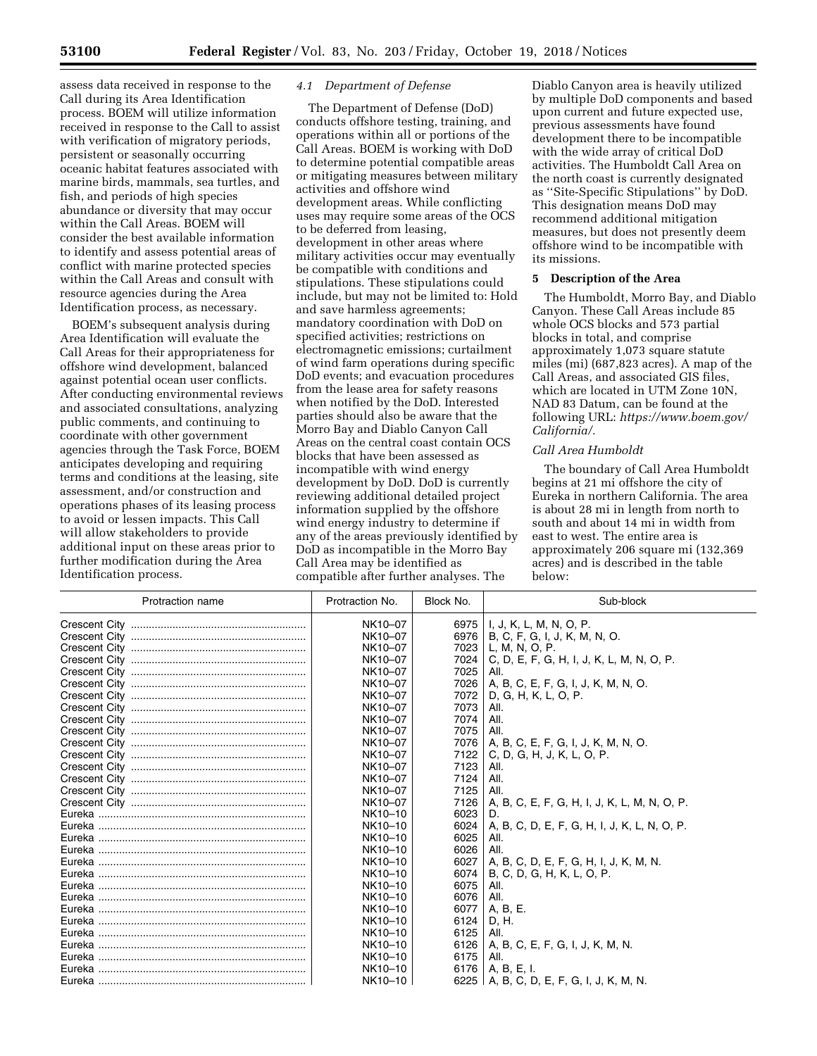assess data received in response to the Call during its Area Identification process. BOEM will utilize information received in response to the Call to assist with verification of migratory periods, persistent or seasonally occurring oceanic habitat features associated with marine birds, mammals, sea turtles, and fish, and periods of high species abundance or diversity that may occur within the Call Areas. BOEM will consider the best available information to identify and assess potential areas of conflict with marine protected species within the Call Areas and consult with resource agencies during the Area Identification process, as necessary.

BOEM's subsequent analysis during Area Identification will evaluate the Call Areas for their appropriateness for offshore wind development, balanced against potential ocean user conflicts. After conducting environmental reviews and associated consultations, analyzing public comments, and continuing to coordinate with other government agencies through the Task Force, BOEM anticipates developing and requiring terms and conditions at the leasing, site assessment, and/or construction and operations phases of its leasing process to avoid or lessen impacts. This Call will allow stakeholders to provide additional input on these areas prior to further modification during the Area Identification process.

# *4.1 Department of Defense*

The Department of Defense (DoD) conducts offshore testing, training, and operations within all or portions of the Call Areas. BOEM is working with DoD to determine potential compatible areas or mitigating measures between military activities and offshore wind development areas. While conflicting uses may require some areas of the OCS to be deferred from leasing, development in other areas where military activities occur may eventually be compatible with conditions and stipulations. These stipulations could include, but may not be limited to: Hold and save harmless agreements; mandatory coordination with DoD on specified activities; restrictions on electromagnetic emissions; curtailment of wind farm operations during specific DoD events; and evacuation procedures from the lease area for safety reasons when notified by the DoD. Interested parties should also be aware that the Morro Bay and Diablo Canyon Call Areas on the central coast contain OCS blocks that have been assessed as incompatible with wind energy development by DoD. DoD is currently reviewing additional detailed project information supplied by the offshore wind energy industry to determine if any of the areas previously identified by DoD as incompatible in the Morro Bay Call Area may be identified as compatible after further analyses. The

Diablo Canyon area is heavily utilized by multiple DoD components and based upon current and future expected use, previous assessments have found development there to be incompatible with the wide array of critical DoD activities. The Humboldt Call Area on the north coast is currently designated as ''Site-Specific Stipulations'' by DoD. This designation means DoD may recommend additional mitigation measures, but does not presently deem offshore wind to be incompatible with its missions.

# **5 Description of the Area**

The Humboldt, Morro Bay, and Diablo Canyon. These Call Areas include 85 whole OCS blocks and 573 partial blocks in total, and comprise approximately 1,073 square statute miles (mi) (687,823 acres). A map of the Call Areas, and associated GIS files, which are located in UTM Zone 10N, NAD 83 Datum, can be found at the following URL: *[https://www.boem.gov/](https://www.boem.gov/California/)  [California/.](https://www.boem.gov/California/)* 

### *Call Area Humboldt*

The boundary of Call Area Humboldt begins at 21 mi offshore the city of Eureka in northern California. The area is about 28 mi in length from north to south and about 14 mi in width from east to west. The entire area is approximately 206 square mi (132,369 acres) and is described in the table below:

| Protraction name | Protraction No. | Block No. | Sub-block                                    |
|------------------|-----------------|-----------|----------------------------------------------|
|                  | NK10-07         | 6975      | I, J, K, L, M, N, O, P.                      |
|                  | NK10-07         |           | 6976   B, C, F, G, I, J, K, M, N, O.         |
|                  | NK10-07         | 7023      | L, M, N, O, P.                               |
|                  | NK10-07         | 7024      | C, D, E, F, G, H, I, J, K, L, M, N, O, P.    |
|                  | NK10-07         | 7025      | All.                                         |
|                  | NK10-07         | 7026      | A, B, C, E, F, G, I, J, K, M, N, O.          |
|                  | NK10-07         | 7072      | D. G. H. K. L. O. P.                         |
|                  | NK10-07         | 7073      | All.                                         |
|                  | NK10-07         | 7074      | All.                                         |
|                  | NK10-07         | 7075      | All.                                         |
|                  | NK10-07         | 7076      | A, B, C, E, F, G, I, J, K, M, N, O.          |
|                  | NK10-07         | 7122      | C, D, G, H, J, K, L, O, P.                   |
|                  | NK10-07         | 7123      | All.                                         |
|                  | NK10-07         | 7124      | All.                                         |
|                  | NK10-07         | 7125      | All.                                         |
|                  | NK10-07         | 7126      | A, B, C, E, F, G, H, I, J, K, L, M, N, O, P. |
|                  | NK10-10         | 6023      | D.                                           |
|                  | NK10-10         | 6024      | A, B, C, D, E, F, G, H, I, J, K, L, N, O, P. |
|                  | NK10-10         | 6025      | All.                                         |
|                  | NK10-10         | 6026      | All.                                         |
|                  | NK10-10         | 6027      | A, B, C, D, E, F, G, H, I, J, K, M, N.       |
|                  | NK10-10         | 6074      | B, C, D, G, H, K, L, O, P.                   |
|                  | NK10-10         | 6075      | All.                                         |
|                  | NK10-10         | 6076      | All.                                         |
|                  | NK10-10         | 6077      | A, B, E.                                     |
|                  | NK10-10         | 6124      | D, H.                                        |
|                  | NK10-10         | 6125      | All.                                         |
|                  | NK10-10         | 6126      | A, B, C, E, F, G, I, J, K, M, N.             |
|                  | NK10-10         | 6175      | All.                                         |
|                  | NK10-10         |           | 6176   A, B, E, I.                           |
|                  | NK10-10         |           | 6225   A, B, C, D, E, F, G, I, J, K, M, N.   |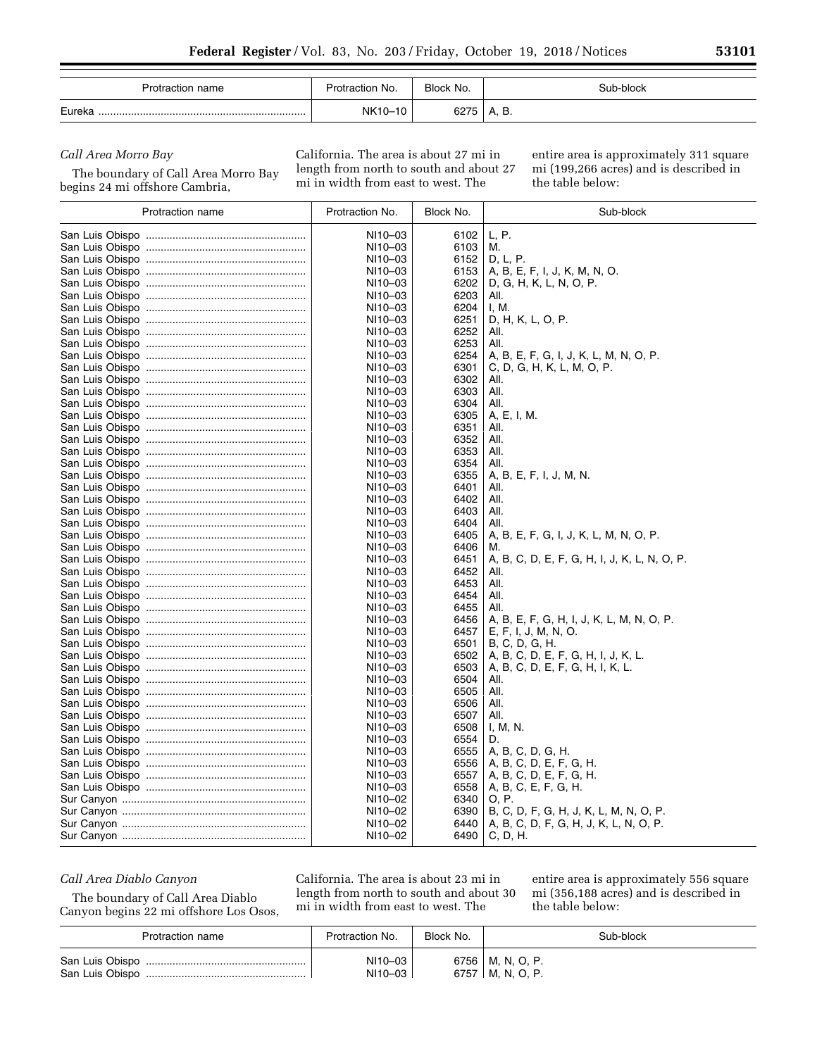| Protraction name | Protraction No. | Block No. | Sub-block      |
|------------------|-----------------|-----------|----------------|
| Eureka           | NK10-           |           | <u>.</u><br>٠. |

### *Call Area Morro Bay*

The boundary of Call Area Morro Bay

begins 24 mi offshore Cambria,

California. The area is about 27 mi in length from north to south and about 27 mi in width from east to west. The

entire area is approximately 311 square mi (199,266 acres) and is described in the table below:

| Protraction name | Protraction No.    | Block No.    | Sub-block                                            |
|------------------|--------------------|--------------|------------------------------------------------------|
|                  | NI10-03            | 6102         | L, P.                                                |
|                  | NI10-03            | 6103         | М.                                                   |
|                  | NI10-03            | 6152         | D, L, P.                                             |
|                  | NI10-03            | 6153         | A, B, E, F, I, J, K, M, N, O.                        |
|                  | NI10-03            | 6202         | D, G, H, K, L, N, O, P.                              |
|                  | NI10-03            | 6203         | AII.                                                 |
|                  | NI10-03            | 6204         | I, M.                                                |
|                  | NI10-03            | 6251         | D, H, K, L, O, P.                                    |
|                  | NI10-03            | 6252         | AII.                                                 |
|                  | NI10-03            | 6253         | All.                                                 |
|                  | NI10-03            | 6254         | A, B, E, F, G, I, J, K, L, M, N, O, P.               |
|                  | NI10-03            | 6301         | C, D, G, H, K, L, M, O, P.                           |
|                  | NI10-03            | 6302         | All.                                                 |
|                  | NI10-03            | 6303         | AII.                                                 |
|                  | NI10-03            | 6304         | All.                                                 |
|                  | NI10-03            | 6305         | A, E, I, M.                                          |
|                  | NI10-03            | 6351         | AII.                                                 |
|                  | NI10-03            | 6352         | AII.                                                 |
|                  | NI10-03            | 6353         | AII.                                                 |
|                  | NI10-03            | 6354         | All.                                                 |
|                  | NI10-03            | 6355         | A, B, E, F, I, J, M, N.                              |
|                  | NI10-03            | 6401         | AII.                                                 |
|                  | NI10-03            | 6402         | All.                                                 |
|                  | NI10-03            | 6403         | AII.                                                 |
|                  |                    | 6404         | All.                                                 |
|                  | NI10-03            | 6405         |                                                      |
|                  | NI10-03<br>NI10-03 | 6406         | A, B, E, F, G, I, J, K, L, M, N, O, P.               |
|                  | NI10-03            | 6451         | М.                                                   |
|                  | NI10-03            | 6452         | A, B, C, D, E, F, G, H, I, J, K, L, N, O, P.<br>All. |
|                  | NI10-03            | 6453         | AII.                                                 |
|                  |                    |              | All.                                                 |
|                  | NI10-03<br>NI10-03 | 6454<br>6455 |                                                      |
|                  |                    |              | All.                                                 |
|                  | NI10-03            | 6456         | A, B, E, F, G, H, I, J, K, L, M, N, O, P.            |
|                  | NI10-03            | 6457         | E, F, I, J, M, N, O.                                 |
|                  | NI10-03            | 6501         | B, C, D, G, H.                                       |
|                  | NI10-03            | 6502         | A, B, C, D, E, F, G, H, I, J, K, L.                  |
|                  | NI10-03            | 6503         | A, B, C, D, E, F, G, H, I, K, L.                     |
|                  | NI10-03            | 6504         | AII.                                                 |
|                  | NI10-03            | 6505         | All.                                                 |
|                  | NI10-03            | 6506         | All.                                                 |
|                  | NI10-03            | 6507         | AII.                                                 |
|                  | NI10-03            | 6508         | I, M, N.                                             |
|                  | NI10-03            | 6554         | D.                                                   |
|                  | NI10-03            | 6555         | A, B, C, D, G, H.                                    |
|                  | NI10-03            | 6556         | A, B, C, D, E, F, G, H.                              |
|                  | NI10-03            | 6557         | A, B, C, D, E, F, G, H.                              |
|                  | NI10-03            | 6558         | A, B, C, E, F, G, H.                                 |
|                  | NI10-02            | 6340         | O, P.                                                |
|                  | NI10-02            | 6390         | B, C, D, F, G, H, J, K, L, M, N, O, P.               |
|                  | NI10-02            | 6440         | A, B, C, D, F, G, H, J, K, L, N, O, P.               |
|                  | NI10-02            | 6490         | C, D, H.                                             |

*Call Area Diablo Canyon* 

The boundary of Call Area Diablo Canyon begins 22 mi offshore Los Osos,

California. The area is about 23 mi in length from north to south and about 30 mi in width from east to west. The

entire area is approximately 556 square mi (356,188 acres) and is described in the table below:

| Protraction name | Protraction No. | Block No. | Sub-block          |
|------------------|-----------------|-----------|--------------------|
|                  | NI10-03         |           | 6756   M, N, O, P. |
|                  | NI10-03         |           | 6757   M, N, O, P. |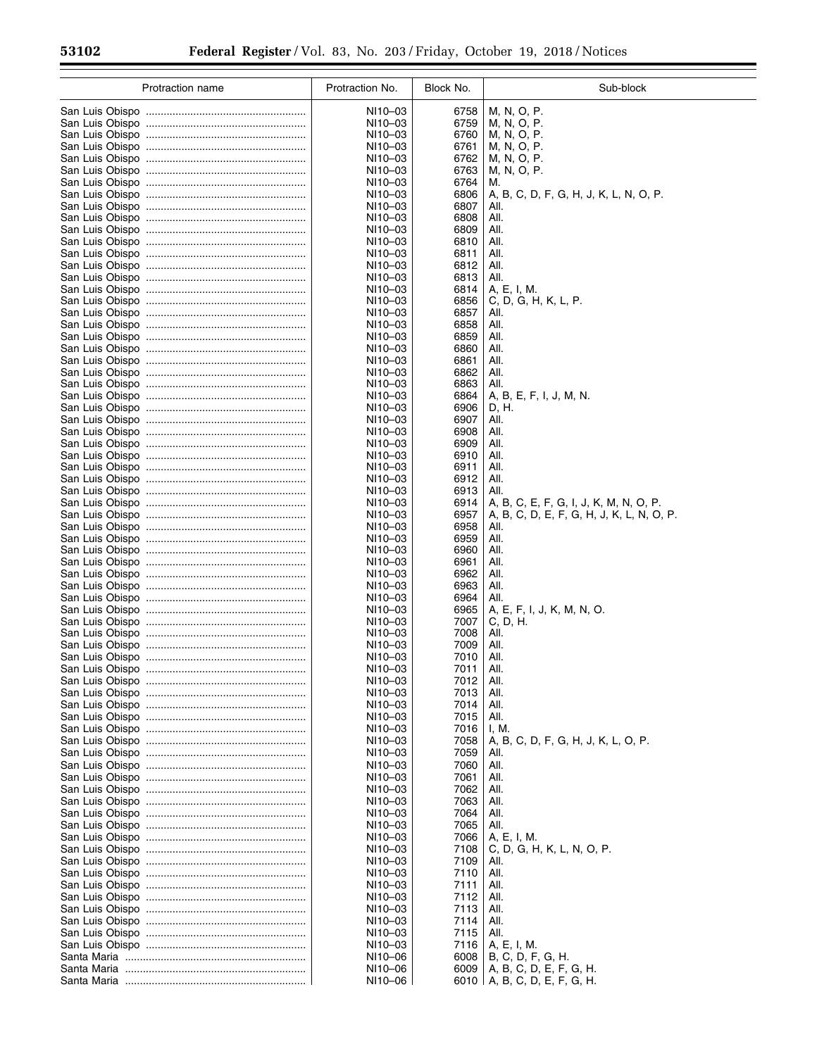$\equiv$ 

| Protraction name | Protraction No.    | Block No.    | Sub-block                                                                           |
|------------------|--------------------|--------------|-------------------------------------------------------------------------------------|
|                  | NI10-03            | 6758         | M, N, O, P.                                                                         |
|                  | NI10-03            | 6759         | M, N, O, P.                                                                         |
|                  | NI10-03            | 6760         | M, N, O, P.                                                                         |
|                  | NI10-03            | 6761         | M, N, O, P.                                                                         |
|                  | NI10-03            | 6762         | M, N, O, P.                                                                         |
|                  | NI10-03            | 6763         | M, N, O, P.                                                                         |
|                  | NI10-03            | 6764         | M.                                                                                  |
|                  | NI10-03            | 6806<br>6807 | A, B, C, D, F, G, H, J, K, L, N, O, P.                                              |
|                  | NI10-03<br>NI10-03 | 6808         | AII.<br>All.                                                                        |
|                  | NI10-03            | 6809         | AII.                                                                                |
|                  | NI10-03            | 6810         | All.                                                                                |
|                  | NI10-03            | 6811         | AII.                                                                                |
|                  | NI10-03            | 6812         | All.                                                                                |
|                  | NI10-03            | 6813         | AII.                                                                                |
|                  | NI10-03            | 6814         | A, E, I, M.                                                                         |
|                  | NI10-03<br>NI10-03 | 6856<br>6857 | C, D, G, H, K, L, P.<br>AII.                                                        |
|                  | NI10-03            | 6858         | AII.                                                                                |
|                  | NI10-03            | 6859         | AII.                                                                                |
|                  | NI10-03            | 6860         | AII.                                                                                |
|                  | NI10-03            | 6861         | All.                                                                                |
|                  | NI10-03            | 6862         | AII.                                                                                |
|                  | NI10-03            | 6863         | AII.                                                                                |
|                  | NI10-03            | 6864         | A, B, E, F, I, J, M, N.                                                             |
|                  | NI10-03<br>NI10-03 | 6906<br>6907 | D, H.<br>AII.                                                                       |
|                  | NI10-03            | 6908         | AII.                                                                                |
|                  | NI10-03            | 6909         | AII.                                                                                |
|                  | NI10-03            | 6910         | AII.                                                                                |
|                  | NI10-03            | 6911         | AII.                                                                                |
|                  | NI10-03            | 6912         | AII.                                                                                |
|                  | NI10-03            | 6913<br>6914 | AII.                                                                                |
|                  | NI10-03<br>NI10-03 | 6957         | A, B, C, E, F, G, I, J, K, M, N, O, P.<br>A, B, C, D, E, F, G, H, J, K, L, N, O, P. |
|                  | NI10-03            | 6958         | AII.                                                                                |
|                  | NI10-03            | 6959         | AII.                                                                                |
|                  | NI10-03            | 6960         | AII.                                                                                |
|                  | NI10-03            | 6961         | AII.                                                                                |
|                  | NI10-03            | 6962         | All.                                                                                |
|                  | NI10-03<br>NI10-03 | 6963<br>6964 | All.<br>All.                                                                        |
|                  | NI10-03            | 6965         | A, E, F, I, J, K, M, N, O.                                                          |
|                  | NI10-03            | 7007         | C, D, H.                                                                            |
|                  | NI10-03            | 7008         | All.                                                                                |
|                  | NI10-03            | 7009         | AII.                                                                                |
|                  | NI10-03            | 7010         | All.                                                                                |
|                  | NI10-03<br>NI10-03 | 7011<br>7012 | All.<br>All.                                                                        |
|                  | NI10-03            | 7013         | AII.                                                                                |
|                  | NI10-03            | 7014         | AII.                                                                                |
|                  | NI10-03            | 7015         | AII.                                                                                |
|                  | NI10-03            | 7016         | I, M.                                                                               |
|                  | NI10-03            | 7058         | A, B, C, D, F, G, H, J, K, L, O, P.                                                 |
|                  | NI10-03            | 7059         | All.                                                                                |
|                  | NI10-03<br>NI10-03 | 7060<br>7061 | AII.<br>AII.                                                                        |
|                  | NI10-03            | 7062         | All.                                                                                |
|                  | NI10-03            | 7063         | All.                                                                                |
|                  | NI10-03            | 7064         | AII.                                                                                |
|                  | NI10-03            | 7065         | AII.                                                                                |
|                  | NI10-03            | 7066         | A, E, I, M.                                                                         |
|                  | NI10-03            | 7108         | C, D, G, H, K, L, N, O, P.                                                          |
|                  | NI10-03<br>NI10-03 | 7109<br>7110 | All.<br>AII.                                                                        |
|                  | NI10-03            | 7111         | All.                                                                                |
|                  | NI10-03            | 7112         | All.                                                                                |
|                  | NI10-03            | 7113         | AII.                                                                                |
|                  | NI10-03            | 7114         | AII.                                                                                |
|                  | NI10-03            | 7115         | AII.                                                                                |
|                  | NI10-03<br>NI10-06 | 7116<br>6008 | A, E, I, M.<br>B, C, D, F, G, H.                                                    |
|                  | NI10-06            | 6009         | A, B, C, D, E, F, G, H.                                                             |
|                  | NI10-06            |              | 6010   A, B, C, D, E, F, G, H.                                                      |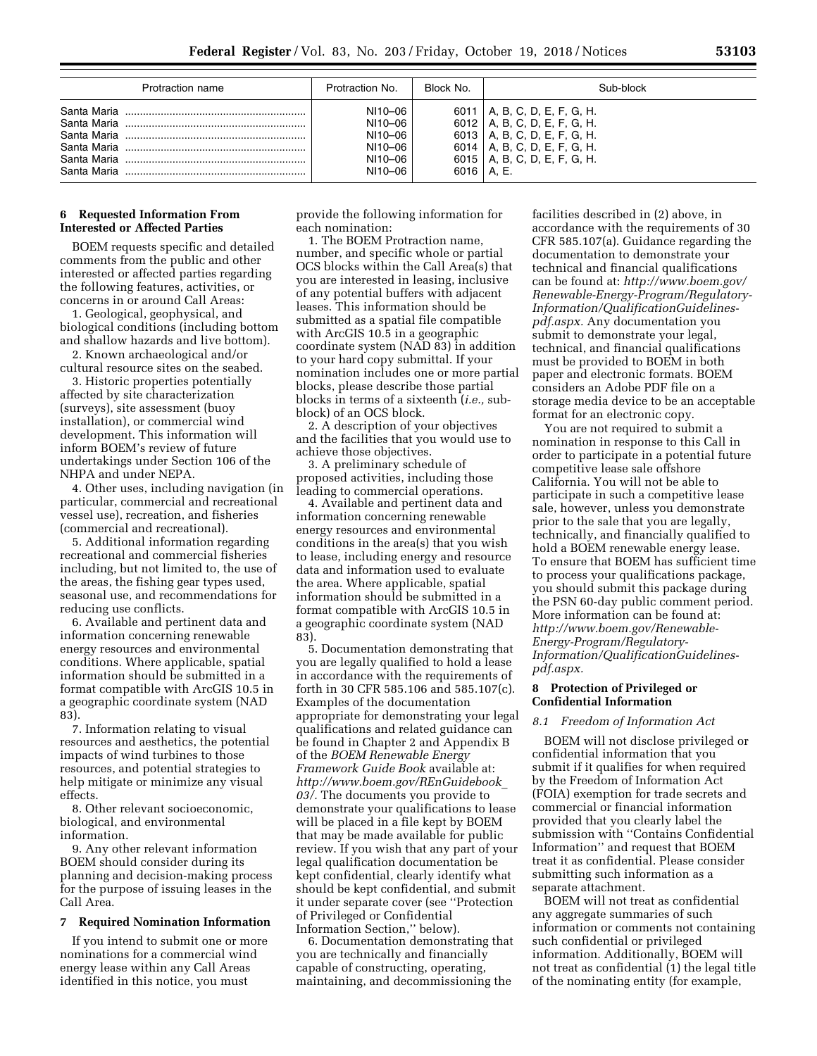| Protraction name | Protraction No. | Block No. | Sub-block                      |
|------------------|-----------------|-----------|--------------------------------|
|                  | NI10-06         |           | 6011   A, B, C, D, E, F, G, H. |
|                  | NI10-06         |           | 6012   A, B, C, D, E, F, G, H. |
|                  | NI10-06         |           | 6013   A, B, C, D, E, F, G, H. |
|                  | NI10-06         |           | 6014   A. B. C. D. E. F. G. H. |
|                  | NI10-06         |           | 6015   A. B. C. D. E. F. G. H. |
|                  | NI10-06         |           | 6016   A, E.                   |

#### **6 Requested Information From Interested or Affected Parties**

BOEM requests specific and detailed comments from the public and other interested or affected parties regarding the following features, activities, or concerns in or around Call Areas:

1. Geological, geophysical, and biological conditions (including bottom and shallow hazards and live bottom).

2. Known archaeological and/or cultural resource sites on the seabed.

3. Historic properties potentially affected by site characterization (surveys), site assessment (buoy installation), or commercial wind development. This information will inform BOEM's review of future undertakings under Section 106 of the NHPA and under NEPA.

4. Other uses, including navigation (in particular, commercial and recreational vessel use), recreation, and fisheries (commercial and recreational).

5. Additional information regarding recreational and commercial fisheries including, but not limited to, the use of the areas, the fishing gear types used, seasonal use, and recommendations for reducing use conflicts.

6. Available and pertinent data and information concerning renewable energy resources and environmental conditions. Where applicable, spatial information should be submitted in a format compatible with ArcGIS 10.5 in a geographic coordinate system (NAD 83).

7. Information relating to visual resources and aesthetics, the potential impacts of wind turbines to those resources, and potential strategies to help mitigate or minimize any visual effects.

8. Other relevant socioeconomic, biological, and environmental information.

9. Any other relevant information BOEM should consider during its planning and decision-making process for the purpose of issuing leases in the Call Area.

#### **7 Required Nomination Information**

If you intend to submit one or more nominations for a commercial wind energy lease within any Call Areas identified in this notice, you must

provide the following information for each nomination:

1. The BOEM Protraction name, number, and specific whole or partial OCS blocks within the Call Area(s) that you are interested in leasing, inclusive of any potential buffers with adjacent leases. This information should be submitted as a spatial file compatible with ArcGIS 10.5 in a geographic coordinate system (NAD 83) in addition to your hard copy submittal. If your nomination includes one or more partial blocks, please describe those partial blocks in terms of a sixteenth (*i.e.,* subblock) of an OCS block.

2. A description of your objectives and the facilities that you would use to achieve those objectives.

3. A preliminary schedule of proposed activities, including those leading to commercial operations.

4. Available and pertinent data and information concerning renewable energy resources and environmental conditions in the area(s) that you wish to lease, including energy and resource data and information used to evaluate the area. Where applicable, spatial information should be submitted in a format compatible with ArcGIS 10.5 in a geographic coordinate system (NAD 83).

5. Documentation demonstrating that you are legally qualified to hold a lease in accordance with the requirements of forth in 30 CFR 585.106 and 585.107(c). Examples of the documentation appropriate for demonstrating your legal qualifications and related guidance can be found in Chapter 2 and Appendix B of the *BOEM Renewable Energy Framework Guide Book* available at: *[http://www.boem.gov/REnGuidebook](http://www.boem.gov/REnGuidebook_03/)*\_ *[03/.](http://www.boem.gov/REnGuidebook_03/)* The documents you provide to demonstrate your qualifications to lease will be placed in a file kept by BOEM that may be made available for public review. If you wish that any part of your legal qualification documentation be kept confidential, clearly identify what should be kept confidential, and submit it under separate cover (see ''Protection of Privileged or Confidential Information Section,'' below).

6. Documentation demonstrating that you are technically and financially capable of constructing, operating, maintaining, and decommissioning the

facilities described in (2) above, in accordance with the requirements of 30 CFR 585.107(a). Guidance regarding the documentation to demonstrate your technical and financial qualifications can be found at: *[http://www.boem.gov/](http://www.boem.gov/Renewable-Energy-Program/Regulatory-Information/QualificationGuidelines-pdf.aspx)  [Renewable-Energy-Program/Regulatory-](http://www.boem.gov/Renewable-Energy-Program/Regulatory-Information/QualificationGuidelines-pdf.aspx)[Information/QualificationGuidelines](http://www.boem.gov/Renewable-Energy-Program/Regulatory-Information/QualificationGuidelines-pdf.aspx)[pdf.aspx.](http://www.boem.gov/Renewable-Energy-Program/Regulatory-Information/QualificationGuidelines-pdf.aspx)* Any documentation you submit to demonstrate your legal, technical, and financial qualifications must be provided to BOEM in both paper and electronic formats. BOEM considers an Adobe PDF file on a storage media device to be an acceptable format for an electronic copy.

You are not required to submit a nomination in response to this Call in order to participate in a potential future competitive lease sale offshore California. You will not be able to participate in such a competitive lease sale, however, unless you demonstrate prior to the sale that you are legally, technically, and financially qualified to hold a BOEM renewable energy lease. To ensure that BOEM has sufficient time to process your qualifications package, you should submit this package during the PSN 60-day public comment period. More information can be found at: *[http://www.boem.gov/Renewable-](http://www.boem.gov/Renewable-Energy-Program/Regulatory-Information/QualificationGuidelines-pdf.aspx)[Energy-Program/Regulatory-](http://www.boem.gov/Renewable-Energy-Program/Regulatory-Information/QualificationGuidelines-pdf.aspx)[Information/QualificationGuidelines](http://www.boem.gov/Renewable-Energy-Program/Regulatory-Information/QualificationGuidelines-pdf.aspx)[pdf.aspx.](http://www.boem.gov/Renewable-Energy-Program/Regulatory-Information/QualificationGuidelines-pdf.aspx)* 

### **8 Protection of Privileged or Confidential Information**

#### *8.1 Freedom of Information Act*

BOEM will not disclose privileged or confidential information that you submit if it qualifies for when required by the Freedom of Information Act (FOIA) exemption for trade secrets and commercial or financial information provided that you clearly label the submission with ''Contains Confidential Information'' and request that BOEM treat it as confidential. Please consider submitting such information as a separate attachment.

BOEM will not treat as confidential any aggregate summaries of such information or comments not containing such confidential or privileged information. Additionally, BOEM will not treat as confidential (1) the legal title of the nominating entity (for example,